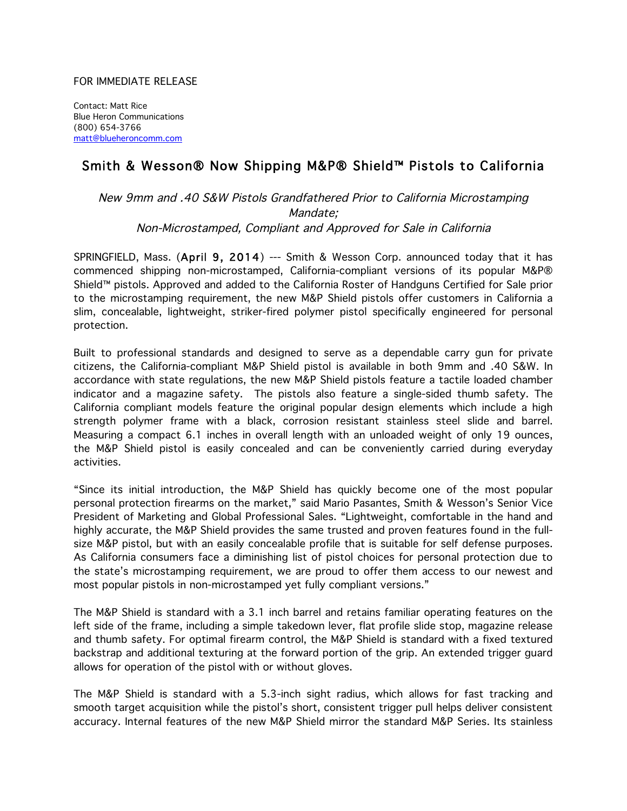## FOR IMMEDIATE RELEASE

Contact: Matt Rice Blue Heron Communications (800) 654-3766 matt@blueheroncomm.com

## Smith & Wesson® Now Shipping M&P® Shield™ Pistols to California

New 9mm and .40 S&W Pistols Grandfathered Prior to California Microstamping Mandate; Non-Microstamped, Compliant and Approved for Sale in California

SPRINGFIELD, Mass. (April 9, 2014) --- Smith & Wesson Corp. announced today that it has commenced shipping non-microstamped, California-compliant versions of its popular M&P® Shield™ pistols. Approved and added to the California Roster of Handguns Certified for Sale prior to the microstamping requirement, the new M&P Shield pistols offer customers in California a slim, concealable, lightweight, striker-fired polymer pistol specifically engineered for personal protection.

Built to professional standards and designed to serve as a dependable carry gun for private citizens, the California-compliant M&P Shield pistol is available in both 9mm and .40 S&W. In accordance with state regulations, the new M&P Shield pistols feature a tactile loaded chamber indicator and a magazine safety. The pistols also feature a single-sided thumb safety. The California compliant models feature the original popular design elements which include a high strength polymer frame with a black, corrosion resistant stainless steel slide and barrel. Measuring a compact 6.1 inches in overall length with an unloaded weight of only 19 ounces, the M&P Shield pistol is easily concealed and can be conveniently carried during everyday activities.

"Since its initial introduction, the M&P Shield has quickly become one of the most popular personal protection firearms on the market," said Mario Pasantes, Smith & Wesson's Senior Vice President of Marketing and Global Professional Sales. "Lightweight, comfortable in the hand and highly accurate, the M&P Shield provides the same trusted and proven features found in the fullsize M&P pistol, but with an easily concealable profile that is suitable for self defense purposes. As California consumers face a diminishing list of pistol choices for personal protection due to the state's microstamping requirement, we are proud to offer them access to our newest and most popular pistols in non-microstamped yet fully compliant versions."

The M&P Shield is standard with a 3.1 inch barrel and retains familiar operating features on the left side of the frame, including a simple takedown lever, flat profile slide stop, magazine release and thumb safety. For optimal firearm control, the M&P Shield is standard with a fixed textured backstrap and additional texturing at the forward portion of the grip. An extended trigger guard allows for operation of the pistol with or without gloves.

The M&P Shield is standard with a 5.3-inch sight radius, which allows for fast tracking and smooth target acquisition while the pistol's short, consistent trigger pull helps deliver consistent accuracy. Internal features of the new M&P Shield mirror the standard M&P Series. Its stainless